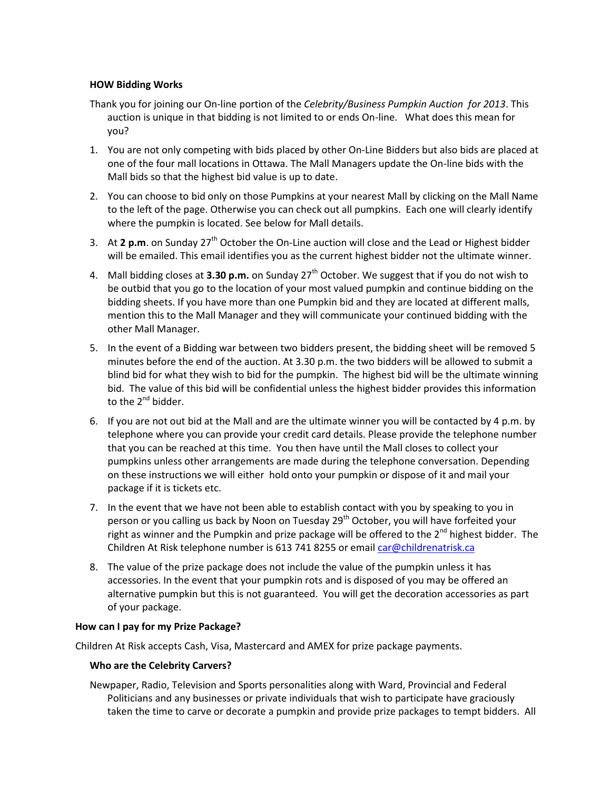# **HOW Bidding Works**

- Thank you for joining our On-line portion of the *Celebrity/Business Pumpkin Auction for 2013*. This auction is unique in that bidding is not limited to or ends On-line. What does this mean for you?
- 1. You are not only competing with bids placed by other On-Line Bidders but also bids are placed at one of the four mall locations in Ottawa. The Mall Managers update the On-line bids with the Mall bids so that the highest bid value is up to date.
- 2. You can choose to bid only on those Pumpkins at your nearest Mall by clicking on the Mall Name to the left of the page. Otherwise you can check out all pumpkins. Each one will clearly identify where the pumpkin is located. See below for Mall details.
- 3. At 2 p.m. on Sunday 27<sup>th</sup> October the On-Line auction will close and the Lead or Highest bidder will be emailed. This email identifies you as the current highest bidder not the ultimate winner.
- 4. Mall bidding closes at **3.30 p.m.** on Sunday 27<sup>th</sup> October. We suggest that if you do not wish to be outbid that you go to the location of your most valued pumpkin and continue bidding on the bidding sheets. If you have more than one Pumpkin bid and they are located at different malls, mention this to the Mall Manager and they will communicate your continued bidding with the other Mall Manager.
- 5. In the event of a Bidding war between two bidders present, the bidding sheet will be removed 5 minutes before the end of the auction. At 3.30 p.m. the two bidders will be allowed to submit a blind bid for what they wish to bid for the pumpkin. The highest bid will be the ultimate winning bid. The value of this bid will be confidential unless the highest bidder provides this information to the  $2^{nd}$  bidder.
- 6. If you are not out bid at the Mall and are the ultimate winner you will be contacted by 4 p.m. by telephone where you can provide your credit card details. Please provide the telephone number that you can be reached at this time. You then have until the Mall closes to collect your pumpkins unless other arrangements are made during the telephone conversation. Depending on these instructions we will either hold onto your pumpkin or dispose of it and mail your package if it is tickets etc.
- 7. In the event that we have not been able to establish contact with you by speaking to you in person or you calling us back by Noon on Tuesday 29<sup>th</sup> October, you will have forfeited your right as winner and the Pumpkin and prize package will be offered to the  $2^{nd}$  highest bidder. The Children At Risk telephone number is 613 741 8255 or emai[l car@childrenatrisk.ca](mailto:car@childrenatrisk.ca)
- 8. The value of the prize package does not include the value of the pumpkin unless it has accessories. In the event that your pumpkin rots and is disposed of you may be offered an alternative pumpkin but this is not guaranteed. You will get the decoration accessories as part of your package.

# **How can I pay for my Prize Package?**

Children At Risk accepts Cash, Visa, Mastercard and AMEX for prize package payments.

# **Who are the Celebrity Carvers?**

Newpaper, Radio, Television and Sports personalities along with Ward, Provincial and Federal Politicians and any businesses or private individuals that wish to participate have graciously taken the time to carve or decorate a pumpkin and provide prize packages to tempt bidders. All